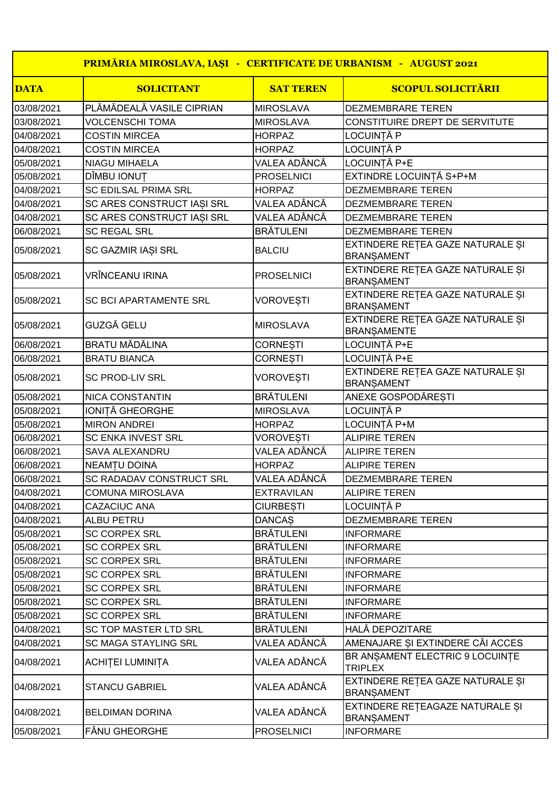|             | PRIMĂRIA MIROSLAVA, IAȘI - CERTIFICATE DE URBANISM - AUGUST 2021 |                   |                                                        |
|-------------|------------------------------------------------------------------|-------------------|--------------------------------------------------------|
| <b>DATA</b> | <b>SOLICITANT</b>                                                | <b>SAT TEREN</b>  | <b>SCOPUL SOLICITĂRII</b>                              |
| 03/08/2021  | PLĂMĂDEALĂ VASILE CIPRIAN                                        | <b>MIROSLAVA</b>  | <b>DEZMEMBRARE TEREN</b>                               |
| 03/08/2021  | <b>VOLCENSCHI TOMA</b>                                           | <b>MIROSLAVA</b>  | CONSTITUIRE DREPT DE SERVITUTE                         |
| 04/08/2021  | <b>COSTIN MIRCEA</b>                                             | <b>HORPAZ</b>     | LOCUINTĂ P                                             |
| 04/08/2021  | <b>COSTIN MIRCEA</b>                                             | <b>HORPAZ</b>     | LOCUINȚĂ P                                             |
| 05/08/2021  | <b>NIAGU MIHAELA</b>                                             | VALEA ADÂNCĂ      | LOCUINȚĂ P+E                                           |
| 05/08/2021  | DÎMBU IONUȚ                                                      | <b>PROSELNICI</b> | EXTINDRE LOCUINTĂ S+P+M                                |
| 04/08/2021  | <b>SC EDILSAL PRIMA SRL</b>                                      | <b>HORPAZ</b>     | <b>DEZMEMBRARE TEREN</b>                               |
| 04/08/2021  | SC ARES CONSTRUCT IASI SRL                                       | VALEA ADÂNCĂ      | DEZMEMBRARE TEREN                                      |
| 04/08/2021  | SC ARES CONSTRUCT IASI SRL                                       | VALEA ADÂNCĂ      | <b>DEZMEMBRARE TEREN</b>                               |
| 06/08/2021  | <b>SC REGAL SRL</b>                                              | <b>BRÄTULENI</b>  | DEZMEMBRARE TEREN                                      |
| 05/08/2021  | SC GAZMIR IAȘI SRL                                               | <b>BALCIU</b>     | EXTINDERE REȚEA GAZE NATURALE ȘI<br><b>BRANSAMENT</b>  |
| 05/08/2021  | <b>VRÎNCEANU IRINA</b>                                           | <b>PROSELNICI</b> | EXTINDERE REȚEA GAZE NATURALE ȘI<br><b>BRANSAMENT</b>  |
| 05/08/2021  | <b>SC BCI APARTAMENTE SRL</b>                                    | <b>VOROVESTI</b>  | EXTINDERE REȚEA GAZE NATURALE ȘI<br><b>BRANSAMENT</b>  |
| 05/08/2021  | GUZGĂ GELU                                                       | <b>MIROSLAVA</b>  | EXTINDERE REȚEA GAZE NATURALE ȘI<br><b>BRANSAMENTE</b> |
| 06/08/2021  | <b>BRATU MĂDĂLINA</b>                                            | <b>CORNESTI</b>   | LOCUINȚĂ P+E                                           |
| 06/08/2021  | <b>BRATU BIANCA</b>                                              | <b>CORNESTI</b>   | LOCUINȚĂ P+E                                           |
| 05/08/2021  | <b>SC PROD-LIV SRL</b>                                           | VOROVEȘTI         | EXTINDERE RETEA GAZE NATURALE ȘI<br><b>BRANSAMENT</b>  |
| 05/08/2021  | <b>NICA CONSTANTIN</b>                                           | <b>BRÄTULENI</b>  | ANEXE GOSPODĂREȘTI                                     |
| 05/08/2021  | IONITĂ GHEORGHE                                                  | <b>MIROSLAVA</b>  | LOCUINTĂ P                                             |
| 05/08/2021  | <b>MIRON ANDREI</b>                                              | <b>HORPAZ</b>     | LOCUINTĂ P+M                                           |
| 06/08/2021  | <b>SC ENKA INVEST SRL</b>                                        | <b>VOROVESTI</b>  | <b>ALIPIRE TEREN</b>                                   |
| 06/08/2021  | <b>SAVA ALEXANDRU</b>                                            | VALEA ADÂNCĂ      | <b>ALIPIRE TEREN</b>                                   |
| 06/08/2021  | NEAMȚU DOINA                                                     | <b>HORPAZ</b>     | <b>ALIPIRE TEREN</b>                                   |
| 06/08/2021  | SC RADADAV CONSTRUCT SRL                                         | VALEA ADÂNCĂ      | <b>DEZMEMBRARE TEREN</b>                               |
| 04/08/2021  | <b>COMUNA MIROSLAVA</b>                                          | <b>EXTRAVILAN</b> | <b>ALIPIRE TEREN</b>                                   |
| 04/08/2021  | CAZACIUC ANA                                                     | <b>CIURBESTI</b>  | LOCUINȚĂ P                                             |
| 04/08/2021  | <b>ALBU PETRU</b>                                                | <b>DANCAS</b>     | DEZMEMBRARE TEREN                                      |
| 05/08/2021  | <b>SC CORPEX SRL</b>                                             | <b>BRÄTULENI</b>  | <b>INFORMARE</b>                                       |
| 05/08/2021  | <b>SC CORPEX SRL</b>                                             | <b>BRÄTULENI</b>  | <b>INFORMARE</b>                                       |
| 05/08/2021  | <b>SC CORPEX SRL</b>                                             | <b>BRÄTULENI</b>  | <b>INFORMARE</b>                                       |
| 05/08/2021  | <b>SC CORPEX SRL</b>                                             | <b>BRĂTULENI</b>  | <b>INFORMARE</b>                                       |
| 05/08/2021  | <b>SC CORPEX SRL</b>                                             | <b>BRĂTULENI</b>  | <b>INFORMARE</b>                                       |
| 05/08/2021  | <b>SC CORPEX SRL</b>                                             | <b>BRÄTULENI</b>  | <b>INFORMARE</b>                                       |
| 05/08/2021  | <b>SC CORPEX SRL</b>                                             | <b>BRÄTULENI</b>  | <b>INFORMARE</b>                                       |
| 04/08/2021  | <b>SC TOP MASTER LTD SRL</b>                                     | <b>BRÄTULENI</b>  | <b>HALĂ DEPOZITARE</b>                                 |
| 04/08/2021  | <b>SC MAGA STAYLING SRL</b>                                      | VALEA ADÂNCĂ      | AMENAJARE ȘI EXTINDERE CĂI ACCES                       |
| 04/08/2021  | ACHITEI LUMINITA                                                 | VALEA ADÂNCĂ      | BR ANSAMENT ELECTRIC 9 LOCUINTE<br>TRIPLEX             |
| 04/08/2021  | <b>STANCU GABRIEL</b>                                            | VALEA ADÂNCĂ      | EXTINDERE REȚEA GAZE NATURALE ȘI<br><b>BRANSAMENT</b>  |
| 04/08/2021  | <b>BELDIMAN DORINA</b>                                           | VALEA ADÂNCĂ      | EXTINDERE REȚEAGAZE NATURALE ȘI<br><b>BRANSAMENT</b>   |
| 05/08/2021  | <b>FÂNU GHEORGHE</b>                                             | <b>PROSELNICI</b> | <b>INFORMARE</b>                                       |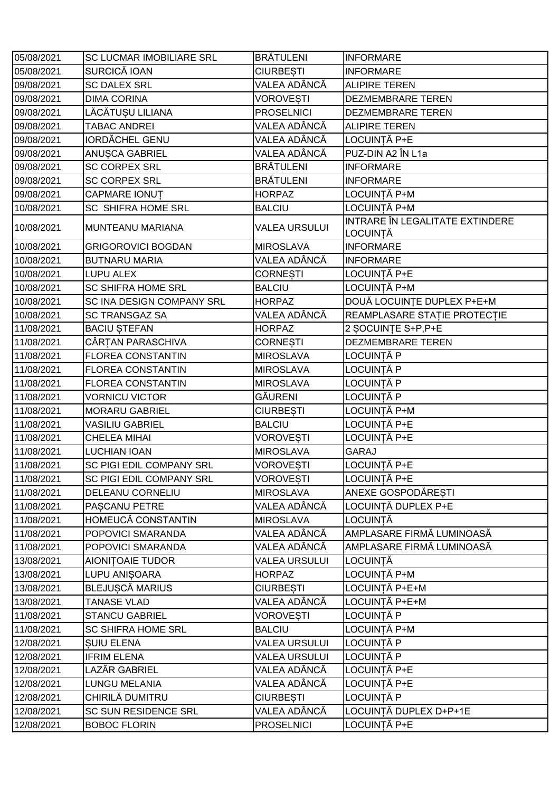| 05/08/2021 | <b>SC LUCMAR IMOBILIARE SRL</b> | <b>BRÄTULENI</b>     | <b>INFORMARE</b>                            |
|------------|---------------------------------|----------------------|---------------------------------------------|
| 05/08/2021 | <b>SURCICĂ IOAN</b>             | <b>CIURBESTI</b>     | <b>INFORMARE</b>                            |
| 09/08/2021 | <b>SC DALEX SRL</b>             | VALEA ADÂNCĂ         | <b>ALIPIRE TEREN</b>                        |
| 09/08/2021 | <b>DIMA CORINA</b>              | <b>VOROVESTI</b>     | <b>DEZMEMBRARE TEREN</b>                    |
| 09/08/2021 | LĂCĂTUSU LILIANA                | <b>PROSELNICI</b>    | <b>DEZMEMBRARE TEREN</b>                    |
| 09/08/2021 | <b>TABAC ANDREI</b>             | VALEA ADÂNCĂ         | <b>ALIPIRE TEREN</b>                        |
| 09/08/2021 | <b>IORDĂCHEL GENU</b>           | VALEA ADÂNCĂ         | LOCUINȚĂ P+E                                |
| 09/08/2021 | <b>ANUSCA GABRIEL</b>           | VALEA ADÂNCĂ         | PUZ-DIN A2 ÎN L1a                           |
| 09/08/2021 | <b>SC CORPEX SRL</b>            | <b>BRÄTULENI</b>     | <b>INFORMARE</b>                            |
| 09/08/2021 | <b>SC CORPEX SRL</b>            | <b>BRÄTULENI</b>     | <b>INFORMARE</b>                            |
| 09/08/2021 | <b>CAPMARE IONUT</b>            | <b>HORPAZ</b>        | LOCUINȚĂ P+M                                |
| 10/08/2021 | <b>SC SHIFRA HOME SRL</b>       | <b>BALCIU</b>        | LOCUINȚĂ P+M                                |
| 10/08/2021 | MUNTEANU MARIANA                | <b>VALEA URSULUI</b> | INTRARE ÎN LEGALITATE EXTINDERE<br>LOCUINȚĂ |
| 10/08/2021 | <b>GRIGOROVICI BOGDAN</b>       | <b>MIROSLAVA</b>     | <b>INFORMARE</b>                            |
| 10/08/2021 | <b>BUTNARU MARIA</b>            | VALEA ADÂNCĂ         | <b>INFORMARE</b>                            |
| 10/08/2021 | <b>LUPU ALEX</b>                | <b>CORNESTI</b>      | LOCUINȚĂ P+E                                |
| 10/08/2021 | <b>SC SHIFRA HOME SRL</b>       | <b>BALCIU</b>        | LOCUINȚĂ P+M                                |
| 10/08/2021 | SC INA DESIGN COMPANY SRL       | <b>HORPAZ</b>        | DOUĂ LOCUINȚE DUPLEX P+E+M                  |
| 10/08/2021 | <b>SC TRANSGAZ SA</b>           | VALEA ADÂNCĂ         | REAMPLASARE STAȚIE PROTECȚIE                |
| 11/08/2021 | <b>BACIU STEFAN</b>             | <b>HORPAZ</b>        | 2 SOCUINTE S+P, P+E                         |
| 11/08/2021 | CÂRȚAN PARASCHIVA               | <b>CORNESTI</b>      | <b>DEZMEMBRARE TEREN</b>                    |
| 11/08/2021 | <b>FLOREA CONSTANTIN</b>        | <b>MIROSLAVA</b>     | LOCUINȚĂ P                                  |
| 11/08/2021 | <b>FLOREA CONSTANTIN</b>        | <b>MIROSLAVA</b>     | LOCUINȚĂ P                                  |
| 11/08/2021 | <b>FLOREA CONSTANTIN</b>        | <b>MIROSLAVA</b>     | LOCUINȚĂ P                                  |
| 11/08/2021 | <b>VORNICU VICTOR</b>           | GĂURENI              | LOCUINȚĂ P                                  |
| 11/08/2021 | <b>MORARU GABRIEL</b>           | <b>CIURBESTI</b>     | LOCUINȚĂ P+M                                |
| 11/08/2021 | <b>VASILIU GABRIEL</b>          | <b>BALCIU</b>        | LOCUINȚĂ P+E                                |
| 11/08/2021 | <b>CHELEA MIHAI</b>             | <b>VOROVESTI</b>     | LOCUINȚĂ P+E                                |
| 11/08/2021 | <b>LUCHIAN IOAN</b>             | <b>MIROSLAVA</b>     | <b>GARAJ</b>                                |
| 11/08/2021 | SC PIGI EDIL COMPANY SRL        | <b>VOROVESTI</b>     | LOCUINȚĂ P+E                                |
| 11/08/2021 | SC PIGI EDIL COMPANY SRL        | VOROVEȘTI            | LOCUINȚĂ P+E                                |
| 11/08/2021 | DELEANU CORNELIU                | <b>MIROSLAVA</b>     | ANEXE GOSPODĂRESTI                          |
| 11/08/2021 | PASCANU PETRE                   | VALEA ADÂNCĂ         | LOCUINȚĂ DUPLEX P+E                         |
| 11/08/2021 | HOMEUCĂ CONSTANTIN              | <b>MIROSLAVA</b>     | LOCUINȚĂ                                    |
| 11/08/2021 | POPOVICI SMARANDA               | VALEA ADÂNCĂ         | AMPLASARE FIRMĂ LUMINOASĂ                   |
| 11/08/2021 | POPOVICI SMARANDA               | VALEA ADÂNCĂ         | AMPLASARE FIRMĂ LUMINOASĂ                   |
| 13/08/2021 | AIONITOAIE TUDOR                | <b>VALEA URSULUI</b> | LOCUINTĂ                                    |
| 13/08/2021 | LUPU ANIȘOARA                   | HORPAZ               | LOCUINȚĂ P+M                                |
| 13/08/2021 | <b>BLEJUSCĂ MARIUS</b>          | <b>CIURBESTI</b>     | LOCUINȚĂ P+E+M                              |
| 13/08/2021 | <b>TANASE VLAD</b>              | VALEA ADÂNCĂ         | LOCUINȚĂ P+E+M                              |
| 11/08/2021 | <b>STANCU GABRIEL</b>           | <b>VOROVESTI</b>     | LOCUINȚĂ P                                  |
| 11/08/2021 | <b>SC SHIFRA HOME SRL</b>       | <b>BALCIU</b>        | LOCUINȚĂ P+M                                |
| 12/08/2021 | <b>SUIU ELENA</b>               | <b>VALEA URSULUI</b> | LOCUINȚĂ P                                  |
| 12/08/2021 | <b>IFRIM ELENA</b>              | <b>VALEA URSULUI</b> | LOCUINȚĂ P                                  |
| 12/08/2021 | LAZĂR GABRIEL                   | VALEA ADÂNCĂ         | LOCUINȚĂ P+E                                |
| 12/08/2021 | LUNGU MELANIA                   | VALEA ADÂNCĂ         | LOCUINȚĂ P+E                                |
| 12/08/2021 | CHIRILĂ DUMITRU                 | <b>CIURBESTI</b>     | LOCUINȚĂ P                                  |
| 12/08/2021 | SC SUN RESIDENCE SRL            | VALEA ADÂNCĂ         | LOCUINȚĂ DUPLEX D+P+1E                      |
| 12/08/2021 | <b>BOBOC FLORIN</b>             | <b>PROSELNICI</b>    | LOCUINȚĂ P+E                                |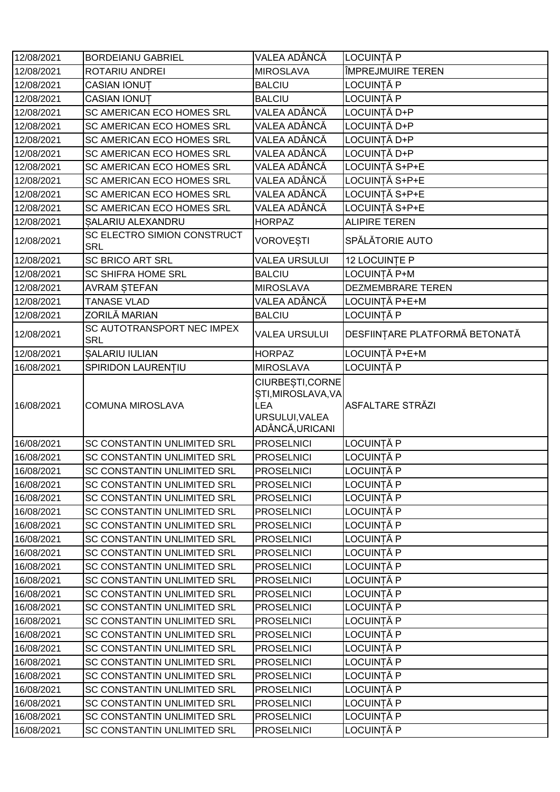| 12/08/2021 | <b>BORDEIANU GABRIEL</b>                  | VALEA ADÂNCĂ                                                                              | LOCUINȚĂ P                     |
|------------|-------------------------------------------|-------------------------------------------------------------------------------------------|--------------------------------|
| 12/08/2021 | ROTARIU ANDREI                            | <b>MIROSLAVA</b>                                                                          | ÎMPREJMUIRE TEREN              |
| 12/08/2021 | CASIAN IONUT                              | <b>BALCIU</b>                                                                             | LOCUINȚĂ P                     |
| 12/08/2021 | CASIAN IONUT                              | <b>BALCIU</b>                                                                             | LOCUINȚĂ P                     |
| 12/08/2021 | SC AMERICAN ECO HOMES SRL                 | VALEA ADÂNCĂ                                                                              | LOCUINȚĂ D+P                   |
| 12/08/2021 | SC AMERICAN ECO HOMES SRL                 | VALEA ADÂNCĂ                                                                              | LOCUINȚĂ D+P                   |
| 12/08/2021 | SC AMERICAN ECO HOMES SRL                 | VALEA ADÂNCĂ                                                                              | LOCUINTĂ D+P                   |
| 12/08/2021 | SC AMERICAN ECO HOMES SRL                 | VALEA ADÂNCĂ                                                                              | LOCUINȚĂ D+P                   |
| 12/08/2021 | SC AMERICAN ECO HOMES SRL                 | VALEA ADÂNCĂ                                                                              | LOCUINTĂ S+P+E                 |
| 12/08/2021 | SC AMERICAN ECO HOMES SRL                 | VALEA ADÂNCĂ                                                                              | LOCUINTĂ S+P+E                 |
| 12/08/2021 | SC AMERICAN ECO HOMES SRL                 | VALEA ADÂNCĂ                                                                              | LOCUINTĂ S+P+E                 |
| 12/08/2021 | SC AMERICAN ECO HOMES SRL                 | VALEA ADÂNCĂ                                                                              | LOCUINTĂ S+P+E                 |
| 12/08/2021 | SALARIU ALEXANDRU                         | <b>HORPAZ</b>                                                                             | <b>ALIPIRE TEREN</b>           |
| 12/08/2021 | SC ELECTRO SIMION CONSTRUCT<br><b>SRL</b> | <b>VOROVEȘTI</b>                                                                          | SPĂLĂTORIE AUTO                |
| 12/08/2021 | <b>SC BRICO ART SRL</b>                   | <b>VALEA URSULUI</b>                                                                      | 12 LOCUINTE P                  |
| 12/08/2021 | <b>SC SHIFRA HOME SRL</b>                 | <b>BALCIU</b>                                                                             | LOCUINȚĂ P+M                   |
| 12/08/2021 | <b>AVRAM STEFAN</b>                       | <b>MIROSLAVA</b>                                                                          | DEZMEMBRARE TEREN              |
| 12/08/2021 | <b>TANASE VLAD</b>                        | VALEA ADÂNCĂ                                                                              | LOCUINTĂ P+E+M                 |
| 12/08/2021 | ZORILĂ MARIAN                             | <b>BALCIU</b>                                                                             | LOCUINȚĂ P                     |
| 12/08/2021 | SC AUTOTRANSPORT NEC IMPEX<br><b>SRL</b>  | <b>VALEA URSULUI</b>                                                                      | DESFIINȚARE PLATFORMĂ BETONATĂ |
| 12/08/2021 | <b>SALARIU IULIAN</b>                     | <b>HORPAZ</b>                                                                             | LOCUINȚĂ P+E+M                 |
| 16/08/2021 | SPIRIDON LAURENTIU                        | <b>MIROSLAVA</b>                                                                          | LOCUINȚĂ P                     |
| 16/08/2021 | <b>COMUNA MIROSLAVA</b>                   | CIURBEȘTI, CORNE<br>STI, MIROSLAVA, VA<br><b>LEA</b><br>URSULUI, VALEA<br>ADÂNCĂ, URICANI | <b>ASFALTARE STRĂZI</b>        |
| 16/08/2021 | SC CONSTANTIN UNLIMITED SRL               | <b>PROSELNICI</b>                                                                         | LOCUINȚĂ P                     |
| 16/08/2021 | SC CONSTANTIN UNLIMITED SRL               | <b>PROSELNICI</b>                                                                         | LOCUINȚĂ P                     |
| 16/08/2021 | SC CONSTANTIN UNLIMITED SRL               | <b>PROSELNICI</b>                                                                         | LOCUINȚĂ P                     |
| 16/08/2021 | SC CONSTANTIN UNLIMITED SRL               | <b>PROSELNICI</b>                                                                         | LOCUINȚĂ P                     |
| 16/08/2021 | SC CONSTANTIN UNLIMITED SRL               | <b>PROSELNICI</b>                                                                         | LOCUINTĂ P                     |
| 16/08/2021 | SC CONSTANTIN UNLIMITED SRL               | <b>PROSELNICI</b>                                                                         | LOCUINȚĂ P                     |
| 16/08/2021 | SC CONSTANTIN UNLIMITED SRL               | <b>PROSELNICI</b>                                                                         | LOCUINȚĂ P                     |
| 16/08/2021 | SC CONSTANTIN UNLIMITED SRL               | <b>PROSELNICI</b>                                                                         | LOCUINȚĂ P                     |
| 16/08/2021 | SC CONSTANTIN UNLIMITED SRL               | <b>PROSELNICI</b>                                                                         | LOCUINȚĂ P                     |
| 16/08/2021 | SC CONSTANTIN UNLIMITED SRL               | <b>PROSELNICI</b>                                                                         | LOCUINȚĂ P                     |
| 16/08/2021 | SC CONSTANTIN UNLIMITED SRL               | <b>PROSELNICI</b>                                                                         | LOCUINȚĂ P                     |
| 16/08/2021 | SC CONSTANTIN UNLIMITED SRL               | <b>PROSELNICI</b>                                                                         | LOCUINȚĂ P                     |
| 16/08/2021 | SC CONSTANTIN UNLIMITED SRL               | <b>PROSELNICI</b>                                                                         | <b>LOCUINTĂ P</b>              |
| 16/08/2021 | SC CONSTANTIN UNLIMITED SRL               | <b>PROSELNICI</b>                                                                         | LOCUINȚĂ P                     |
| 16/08/2021 | SC CONSTANTIN UNLIMITED SRL               | <b>PROSELNICI</b>                                                                         | LOCUINȚĂ P                     |
| 16/08/2021 | SC CONSTANTIN UNLIMITED SRL               | <b>PROSELNICI</b>                                                                         | LOCUINȚĂ P                     |
| 16/08/2021 | SC CONSTANTIN UNLIMITED SRL               | <b>PROSELNICI</b>                                                                         | LOCUINȚĂ P                     |
| 16/08/2021 | SC CONSTANTIN UNLIMITED SRL               | <b>PROSELNICI</b>                                                                         | LOCUINȚĂ P                     |
| 16/08/2021 | SC CONSTANTIN UNLIMITED SRL               | <b>PROSELNICI</b>                                                                         | LOCUINȚĂ P                     |
| 16/08/2021 | SC CONSTANTIN UNLIMITED SRL               | <b>PROSELNICI</b>                                                                         | LOCUINȚĂ P                     |
| 16/08/2021 | SC CONSTANTIN UNLIMITED SRL               | <b>PROSELNICI</b>                                                                         | LOCUINȚĂ P                     |
| 16/08/2021 | SC CONSTANTIN UNLIMITED SRL               | <b>PROSELNICI</b>                                                                         | LOCUINȚĂ P                     |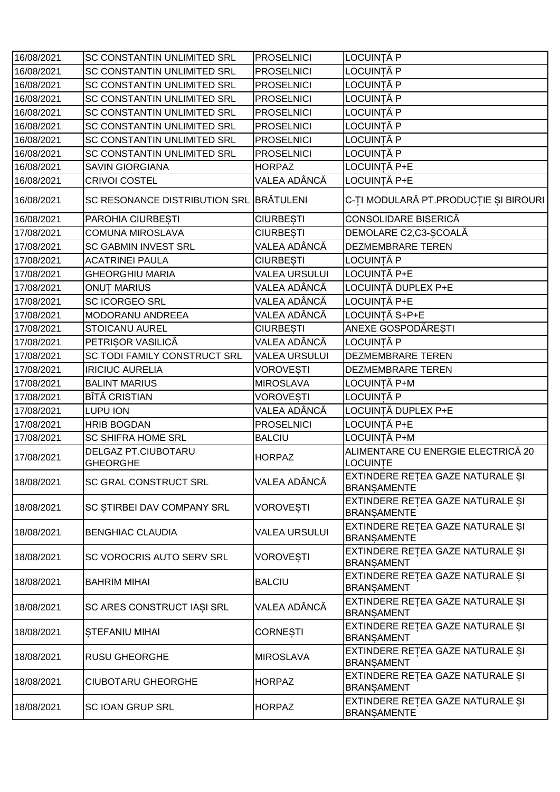| 16/08/2021 | <b>SC CONSTANTIN UNLIMITED SRL</b>      | <b>PROSELNICI</b>    | LOCUINȚĂ P                                             |
|------------|-----------------------------------------|----------------------|--------------------------------------------------------|
| 16/08/2021 | SC CONSTANTIN UNLIMITED SRL             | <b>PROSELNICI</b>    | LOCUINȚĂ P                                             |
| 16/08/2021 | SC CONSTANTIN UNLIMITED SRL             | <b>PROSELNICI</b>    | LOCUINȚĂ P                                             |
| 16/08/2021 | SC CONSTANTIN UNLIMITED SRL             | <b>PROSELNICI</b>    | LOCUINȚĂ P                                             |
| 16/08/2021 | SC CONSTANTIN UNLIMITED SRL             | <b>PROSELNICI</b>    | LOCUINȚĂ P                                             |
| 16/08/2021 | SC CONSTANTIN UNLIMITED SRL             | <b>PROSELNICI</b>    | LOCUINȚĂ P                                             |
| 16/08/2021 | SC CONSTANTIN UNLIMITED SRL             | <b>PROSELNICI</b>    | LOCUINȚĂ P                                             |
| 16/08/2021 | SC CONSTANTIN UNLIMITED SRL             | <b>PROSELNICI</b>    | LOCUINȚĂ P                                             |
| 16/08/2021 | <b>SAVIN GIORGIANA</b>                  | <b>HORPAZ</b>        | LOCUINȚĂ P+E                                           |
| 16/08/2021 | <b>CRIVOI COSTEL</b>                    | VALEA ADÂNCĂ         | LOCUINȚĂ P+E                                           |
| 16/08/2021 | SC RESONANCE DISTRIBUTION SRL BRATULENI |                      | C-ȚI MODULARĂ PT.PRODUCȚIE ȘI BIROURI                  |
| 16/08/2021 | PAROHIA CIURBESTI                       | <b>CIURBESTI</b>     | CONSOLIDARE BISERICĂ                                   |
| 17/08/2021 | <b>COMUNA MIROSLAVA</b>                 | <b>CIURBESTI</b>     | DEMOLARE C2,C3-SCOALĂ                                  |
| 17/08/2021 | <b>SC GABMIN INVEST SRL</b>             | VALEA ADÂNCĂ         | <b>DEZMEMBRARE TEREN</b>                               |
| 17/08/2021 | <b>ACATRINEI PAULA</b>                  | <b>CIURBESTI</b>     | LOCUINȚĂ P                                             |
| 17/08/2021 | <b>GHEORGHIU MARIA</b>                  | <b>VALEA URSULUI</b> | LOCUINȚĂ P+E                                           |
| 17/08/2021 | <b>ONUT MARIUS</b>                      | VALEA ADÂNCĂ         | LOCUINȚĂ DUPLEX P+E                                    |
| 17/08/2021 | <b>SC ICORGEO SRL</b>                   | VALEA ADÂNCĂ         | LOCUINȚĂ P+E                                           |
| 17/08/2021 | MODORANU ANDREEA                        | VALEA ADÂNCĂ         | LOCUINȚĂ S+P+E                                         |
| 17/08/2021 | <b>STOICANU AUREL</b>                   | <b>CIURBESTI</b>     | <b>ANEXE GOSPODĂRESTI</b>                              |
| 17/08/2021 | PETRISOR VASILICĂ                       | VALEA ADÂNCĂ         | LOCUINȚĂ P                                             |
| 17/08/2021 | SC TODI FAMILY CONSTRUCT SRL            | <b>VALEA URSULUI</b> | <b>DEZMEMBRARE TEREN</b>                               |
| 17/08/2021 | <b>IRICIUC AURELIA</b>                  | <b>VOROVESTI</b>     | <b>DEZMEMBRARE TEREN</b>                               |
| 17/08/2021 | <b>BALINT MARIUS</b>                    | <b>MIROSLAVA</b>     | LOCUINȚĂ P+M                                           |
| 17/08/2021 | <b>BÎTĂ CRISTIAN</b>                    | <b>VOROVESTI</b>     | LOCUINȚĂ P                                             |
| 17/08/2021 | LUPU ION                                | VALEA ADÂNCĂ         | LOCUINȚĂ DUPLEX P+E                                    |
| 17/08/2021 | <b>HRIB BOGDAN</b>                      | <b>PROSELNICI</b>    | LOCUINȚĂ P+E                                           |
| 17/08/2021 | <b>SC SHIFRA HOME SRL</b>               | <b>BALCIU</b>        | LOCUINTĂ P+M                                           |
| 17/08/2021 | DELGAZ PT.CIUBOTARU<br><b>GHEORGHE</b>  | <b>HORPAZ</b>        | ALIMENTARE CU ENERGIE ELECTRICĂ 20<br>LOCUINȚE         |
| 18/08/2021 | SC GRAL CONSTRUCT SRL                   | VALEA ADÂNCĂ         | EXTINDERE RETEA GAZE NATURALE ȘI<br><b>BRANSAMENTE</b> |
| 18/08/2021 | SC STIRBEI DAV COMPANY SRL              | <b>VOROVESTI</b>     | EXTINDERE REȚEA GAZE NATURALE ȘI<br><b>BRANSAMENTE</b> |
| 18/08/2021 | <b>BENGHIAC CLAUDIA</b>                 | <b>VALEA URSULUI</b> | EXTINDERE REȚEA GAZE NATURALE ȘI<br><b>BRANSAMENTE</b> |
| 18/08/2021 | SC VOROCRIS AUTO SERV SRL               | VOROVEȘTI            | EXTINDERE REȚEA GAZE NATURALE ȘI<br><b>BRANSAMENT</b>  |
| 18/08/2021 | <b>BAHRIM MIHAI</b>                     | <b>BALCIU</b>        | EXTINDERE REȚEA GAZE NATURALE ȘI<br><b>BRANSAMENT</b>  |
| 18/08/2021 | SC ARES CONSTRUCT IASI SRL              | VALEA ADÂNCĂ         | EXTINDERE REȚEA GAZE NATURALE ȘI<br><b>BRANSAMENT</b>  |
| 18/08/2021 | <b>STEFANIU MIHAI</b>                   | <b>CORNEȘTI</b>      | EXTINDERE REȚEA GAZE NATURALE ȘI<br><b>BRANSAMENT</b>  |
| 18/08/2021 | <b>RUSU GHEORGHE</b>                    | <b>MIROSLAVA</b>     | EXTINDERE REȚEA GAZE NATURALE ȘI<br><b>BRANSAMENT</b>  |
| 18/08/2021 | <b>CIUBOTARU GHEORGHE</b>               | <b>HORPAZ</b>        | EXTINDERE REȚEA GAZE NATURALE ȘI<br><b>BRANSAMENT</b>  |
| 18/08/2021 | <b>SC IOAN GRUP SRL</b>                 | <b>HORPAZ</b>        | EXTINDERE REȚEA GAZE NATURALE ȘI<br><b>BRANSAMENTE</b> |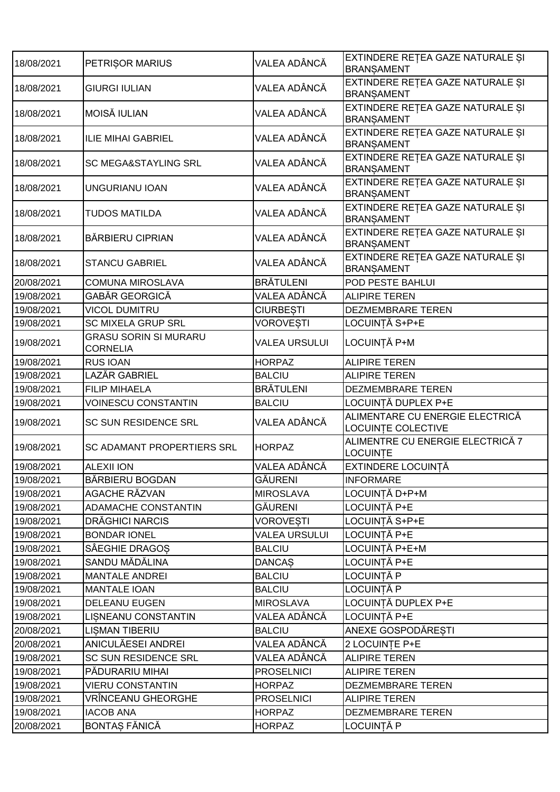| 18/08/2021 | PETRISOR MARIUS                                 | VALEA ADÂNCĂ         | EXTINDERE RETEA GAZE NATURALE SI<br><b>BRANSAMENT</b>        |
|------------|-------------------------------------------------|----------------------|--------------------------------------------------------------|
| 18/08/2021 | <b>GIURGI IULIAN</b>                            | VALEA ADÂNCĂ         | EXTINDERE REȚEA GAZE NATURALE ȘI<br><b>BRANSAMENT</b>        |
| 18/08/2021 | <b>MOISĂ IULIAN</b>                             | VALEA ADÂNCĂ         | EXTINDERE RETEA GAZE NATURALE ȘI<br><b>BRANSAMENT</b>        |
| 18/08/2021 | <b>ILIE MIHAI GABRIEL</b>                       | VALEA ADÂNCĂ         | EXTINDERE RETEA GAZE NATURALE SI<br><b>BRANSAMENT</b>        |
| 18/08/2021 | <b>SC MEGA&amp;STAYLING SRL</b>                 | VALEA ADÂNCĂ         | EXTINDERE RETEA GAZE NATURALE ȘI<br><b>BRANSAMENT</b>        |
| 18/08/2021 | UNGURIANU IOAN                                  | VALEA ADÂNCĂ         | EXTINDERE REȚEA GAZE NATURALE ȘI<br><b>BRANSAMENT</b>        |
| 18/08/2021 | TUDOS MATILDA                                   | VALEA ADÂNCĂ         | EXTINDERE REȚEA GAZE NATURALE ȘI<br><b>BRANSAMENT</b>        |
| 18/08/2021 | <b>BĂRBIERU CIPRIAN</b>                         | VALEA ADÂNCĂ         | EXTINDERE RETEA GAZE NATURALE ȘI<br><b>BRANSAMENT</b>        |
| 18/08/2021 | <b>STANCU GABRIEL</b>                           | VALEA ADÂNCĂ         | EXTINDERE REȚEA GAZE NATURALE ȘI<br><b>BRANSAMENT</b>        |
| 20/08/2021 | <b>COMUNA MIROSLAVA</b>                         | <b>BRÄTULENI</b>     | POD PESTE BAHLUI                                             |
| 19/08/2021 | GABĂR GEORGICĂ                                  | VALEA ADÂNCĂ         | <b>ALIPIRE TEREN</b>                                         |
| 19/08/2021 | <b>VICOL DUMITRU</b>                            | <b>CIURBESTI</b>     | <b>DEZMEMBRARE TEREN</b>                                     |
| 19/08/2021 | <b>SC MIXELA GRUP SRL</b>                       | <b>VOROVESTI</b>     | LOCUINTĂ S+P+E                                               |
| 19/08/2021 | <b>GRASU SORIN SI MURARU</b><br><b>CORNELIA</b> | <b>VALEA URSULUI</b> | LOCUINȚĂ P+M                                                 |
| 19/08/2021 | <b>RUS IOAN</b>                                 | <b>HORPAZ</b>        | <b>ALIPIRE TEREN</b>                                         |
| 19/08/2021 | <b>LAZĂR GABRIEL</b>                            | <b>BALCIU</b>        | <b>ALIPIRE TEREN</b>                                         |
| 19/08/2021 | <b>FILIP MIHAELA</b>                            | <b>BRÄTULENI</b>     | <b>DEZMEMBRARE TEREN</b>                                     |
| 19/08/2021 | <b>VOINESCU CONSTANTIN</b>                      | <b>BALCIU</b>        | LOCUINȚĂ DUPLEX P+E                                          |
| 19/08/2021 | SC SUN RESIDENCE SRL                            | VALEA ADÂNCĂ         | ALIMENTARE CU ENERGIE ELECTRICĂ<br><b>LOCUINTE COLECTIVE</b> |
| 19/08/2021 | SC ADAMANT PROPERTIERS SRL                      | <b>HORPAZ</b>        | ALIMENTRE CU ENERGIE ELECTRICĂ 7<br>LOCUINȚE                 |
| 19/08/2021 | <b>ALEXII ION</b>                               | VALEA ADÂNCĂ         | EXTINDERE LOCUINȚĂ                                           |
| 19/08/2021 | BĂRBIERU BOGDAN                                 | <b>GĂURENI</b>       | <b>INFORMARE</b>                                             |
| 19/08/2021 | AGACHE RĂZVAN                                   | <b>MIROSLAVA</b>     | LOCUINȚĂ D+P+M                                               |
| 19/08/2021 | <b>ADAMACHE CONSTANTIN</b>                      | GĂURENI              | LOCUINȚĂ P+E                                                 |
| 19/08/2021 | DRĂGHICI NARCIS                                 | <b>VOROVESTI</b>     | LOCUINTĂ S+P+E                                               |
| 19/08/2021 | <b>BONDAR IONEL</b>                             | <b>VALEA URSULUI</b> | LOCUINȚĂ P+E                                                 |
| 19/08/2021 | SÂEGHIE DRAGOS                                  | <b>BALCIU</b>        | LOCUINTĂ P+E+M                                               |
| 19/08/2021 | SANDU MĂDĂLINA                                  | <b>DANCAS</b>        | LOCUINȚĂ P+E                                                 |
| 19/08/2021 | <b>MANTALE ANDREI</b>                           | <b>BALCIU</b>        | LOCUINȚĂ P                                                   |
| 19/08/2021 | <b>MANTALE IOAN</b>                             | <b>BALCIU</b>        | LOCUINȚĂ P                                                   |
| 19/08/2021 | <b>DELEANU EUGEN</b>                            | <b>MIROSLAVA</b>     | LOCUINȚĂ DUPLEX P+E                                          |
| 19/08/2021 | LISNEANU CONSTANTIN                             | VALEA ADÂNCĂ         | LOCUINȚĂ P+E                                                 |
| 20/08/2021 | <b>LISMAN TIBERIU</b>                           | <b>BALCIU</b>        | ANEXE GOSPODĂRESTI                                           |
| 20/08/2021 | ANICULĂESEI ANDREI                              | VALEA ADÂNCĂ         | 2 LOCUINTE P+E                                               |
| 19/08/2021 | SC SUN RESIDENCE SRL                            | VALEA ADÂNCĂ         | <b>ALIPIRE TEREN</b>                                         |
| 19/08/2021 | PĂDURARIU MIHAI                                 | <b>PROSELNICI</b>    | <b>ALIPIRE TEREN</b>                                         |
| 19/08/2021 | <b>VIERU CONSTANTIN</b>                         | <b>HORPAZ</b>        | DEZMEMBRARE TEREN                                            |
| 19/08/2021 | VRÎNCEANU GHEORGHE                              | <b>PROSELNICI</b>    | <b>ALIPIRE TEREN</b>                                         |
| 19/08/2021 | <b>IACOB ANA</b>                                | <b>HORPAZ</b>        | DEZMEMBRARE TEREN                                            |
|            | <b>BONTAS FĂNICĂ</b>                            |                      | LOCUINȚĂ P                                                   |
| 20/08/2021 |                                                 | <b>HORPAZ</b>        |                                                              |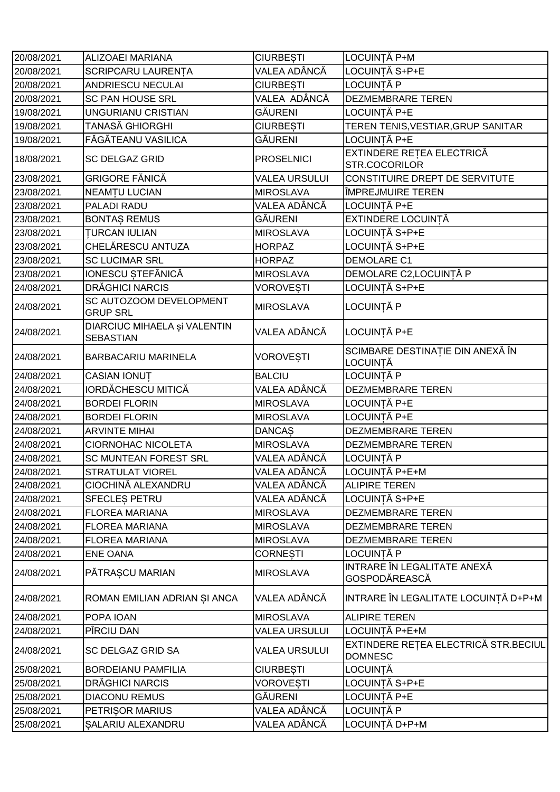| 20/08/2021 | <b>ALIZOAEI MARIANA</b>                          | <b>CIURBESTI</b>     | LOCUINȚĂ P+M                                           |
|------------|--------------------------------------------------|----------------------|--------------------------------------------------------|
| 20/08/2021 | <b>SCRIPCARU LAURENTA</b>                        | VALEA ADÂNCĂ         | LOCUINTĂ S+P+E                                         |
| 20/08/2021 | <b>ANDRIESCU NECULAI</b>                         | <b>CIURBEȘTI</b>     | LOCUINȚĂ P                                             |
| 20/08/2021 | SC PAN HOUSE SRL                                 | VALEA ADÂNCĂ         | <b>DEZMEMBRARE TEREN</b>                               |
| 19/08/2021 | UNGURIANU CRISTIAN                               | GĂURENI              | LOCUINȚĂ P+E                                           |
| 19/08/2021 | TANASĂ GHIORGHI                                  | <b>CIURBESTI</b>     | TEREN TENIS, VESTIAR, GRUP SANITAR                     |
| 19/08/2021 | FĂGĂTEANU VASILICA                               | GĂURENI              | LOCUINȚĂ P+E                                           |
| 18/08/2021 | <b>SC DELGAZ GRID</b>                            | <b>PROSELNICI</b>    | EXTINDERE REȚEA ELECTRICĂ<br>STR.COCORILOR             |
| 23/08/2021 | GRIGORE FĂNICĂ                                   | <b>VALEA URSULUI</b> | CONSTITUIRE DREPT DE SERVITUTE                         |
| 23/08/2021 | <b>NEAMTU LUCIAN</b>                             | <b>MIROSLAVA</b>     | ÎMPREJMUIRE TEREN                                      |
| 23/08/2021 | PALADI RADU                                      | VALEA ADÂNCĂ         | LOCUINȚĂ P+E                                           |
| 23/08/2021 | <b>BONTAS REMUS</b>                              | GĂURENI              | EXTINDERE LOCUINȚĂ                                     |
| 23/08/2021 | <b>TURCAN IULIAN</b>                             | <b>MIROSLAVA</b>     | LOCUINȚĂ S+P+E                                         |
| 23/08/2021 | CHELĂRESCU ANTUZA                                | <b>HORPAZ</b>        | LOCUINȚĂ S+P+E                                         |
| 23/08/2021 | <b>SC LUCIMAR SRL</b>                            | <b>HORPAZ</b>        | DEMOLARE C1                                            |
| 23/08/2021 | IONESCU STEFĂNICĂ                                | <b>MIROSLAVA</b>     | DEMOLARE C2, LOCUINȚĂ P                                |
| 24/08/2021 | <b>DRĂGHICI NARCIS</b>                           | <b>VOROVESTI</b>     | LOCUINȚĂ S+P+E                                         |
| 24/08/2021 | SC AUTOZOOM DEVELOPMENT<br><b>GRUP SRL</b>       | <b>MIROSLAVA</b>     | LOCUINȚĂ P                                             |
| 24/08/2021 | DIARCIUC MIHAELA și VALENTIN<br><b>SEBASTIAN</b> | VALEA ADÂNCĂ         | LOCUINȚĂ P+E                                           |
| 24/08/2021 | <b>BARBACARIU MARINELA</b>                       | VOROVEȘTI            | SCIMBARE DESTINAȚIE DIN ANEXĂ ÎN<br>LOCUINȚĂ           |
| 24/08/2021 | CASIAN IONUT                                     | <b>BALCIU</b>        | LOCUINȚĂ P                                             |
| 24/08/2021 | <b>IORDĂCHESCU MITICĂ</b>                        | VALEA ADÂNCĂ         | DEZMEMBRARE TEREN                                      |
| 24/08/2021 | <b>BORDEI FLORIN</b>                             | <b>MIROSLAVA</b>     | LOCUINȚĂ P+E                                           |
| 24/08/2021 | <b>BORDEI FLORIN</b>                             | <b>MIROSLAVA</b>     | LOCUINȚĂ P+E                                           |
| 24/08/2021 | <b>ARVINTE MIHAI</b>                             | <b>DANCAS</b>        | DEZMEMBRARE TEREN                                      |
| 24/08/2021 | <b>CIORNOHAC NICOLETA</b>                        | <b>MIROSLAVA</b>     | DEZMEMBRARE TEREN                                      |
| 24/08/2021 | <b>SC MUNTEAN FOREST SRL</b>                     | VALEA ADÂNCĂ         | LOCUINȚĂ P                                             |
| 24/08/2021 | <b>STRATULAT VIOREL</b>                          | VALEA ADÂNCĂ         | LOCUINȚĂ P+E+M                                         |
| 24/08/2021 | CIOCHINĂ ALEXANDRU                               | VALEA ADÂNCĂ         | <b>ALIPIRE TEREN</b>                                   |
| 24/08/2021 | SFECLES PETRU                                    | VALEA ADÂNCĂ         | LOCUINȚĂ S+P+E                                         |
| 24/08/2021 | <b>FLOREA MARIANA</b>                            | <b>MIROSLAVA</b>     | DEZMEMBRARE TEREN                                      |
| 24/08/2021 | <b>FLOREA MARIANA</b>                            | <b>MIROSLAVA</b>     | DEZMEMBRARE TEREN                                      |
| 24/08/2021 | <b>FLOREA MARIANA</b>                            | <b>MIROSLAVA</b>     | DEZMEMBRARE TEREN                                      |
| 24/08/2021 | <b>ENE OANA</b>                                  | <b>CORNESTI</b>      | LOCUINȚĂ P                                             |
| 24/08/2021 | PĂTRAȘCU MARIAN                                  | <b>MIROSLAVA</b>     | INTRARE ÎN LEGALITATE ANEXĂ<br>GOSPODĂREASCĂ           |
| 24/08/2021 | ROMAN EMILIAN ADRIAN ȘI ANCA                     | VALEA ADÂNCĂ         | INTRARE ÎN LEGALITATE LOCUINȚĂ D+P+M                   |
| 24/08/2021 | POPA IOAN                                        | <b>MIROSLAVA</b>     | <b>ALIPIRE TEREN</b>                                   |
| 24/08/2021 | PÎRCIU DAN                                       | <b>VALEA URSULUI</b> | LOCUINȚĂ P+E+M                                         |
| 24/08/2021 | SC DELGAZ GRID SA                                | <b>VALEA URSULUI</b> | EXTINDERE REȚEA ELECTRICĂ STR.BECIUL<br><b>DOMNESC</b> |
| 25/08/2021 | <b>BORDEIANU PAMFILIA</b>                        | <b>CIURBEȘTI</b>     | LOCUINȚĂ                                               |
| 25/08/2021 | DRĂGHICI NARCIS                                  | <b>VOROVESTI</b>     | LOCUINȚĂ S+P+E                                         |
| 25/08/2021 | <b>DIACONU REMUS</b>                             | GĂURENI              | LOCUINȚĂ P+E                                           |
| 25/08/2021 | PETRISOR MARIUS                                  | VALEA ADÂNCĂ         | LOCUINȚĂ P                                             |
| 25/08/2021 | SALARIU ALEXANDRU                                | VALEA ADÂNCĂ         | LOCUINȚĂ D+P+M                                         |
|            |                                                  |                      |                                                        |